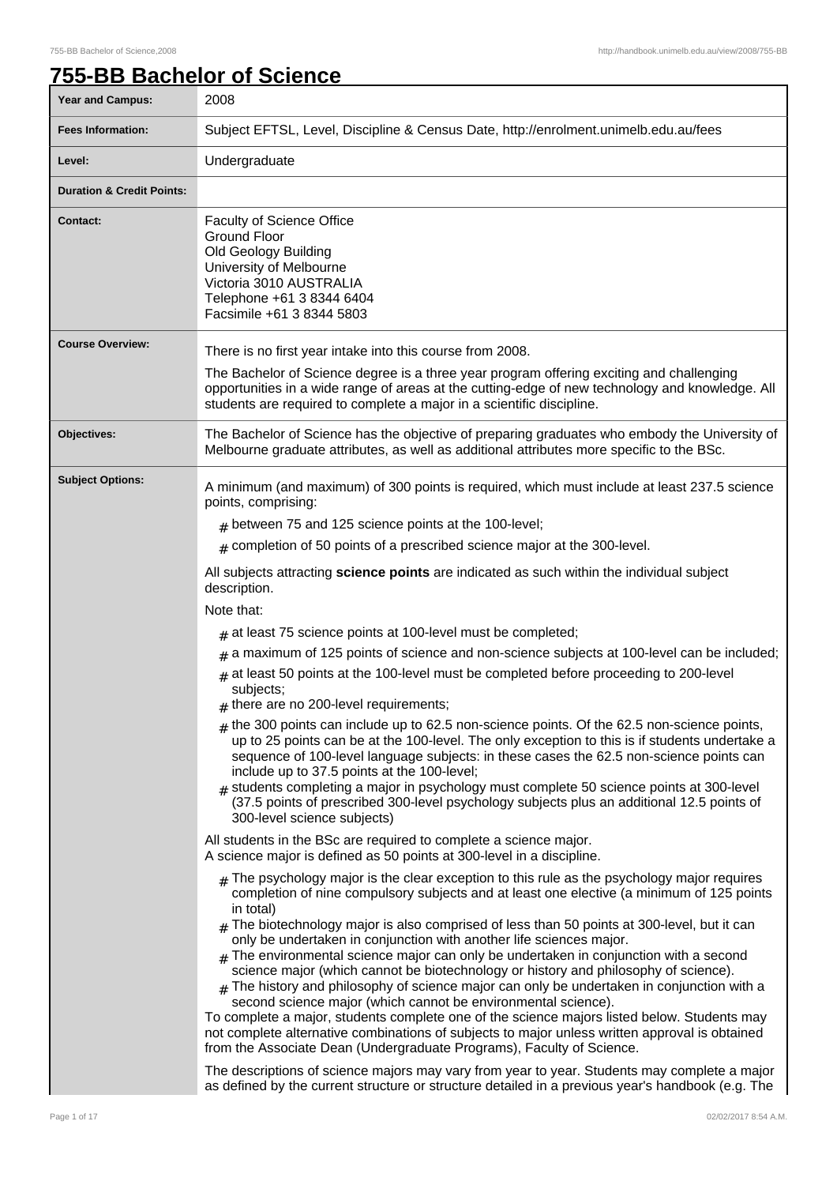٦

# **755-BB Bachelor of Science**

| <b>Year and Campus:</b>              | 2008                                                                                                                                                                                                                                                                                                                                                                                                                                                                                                                                                                                                                                                                                                                                                                                                                                                                                                                                                                                                                                                                                                                       |
|--------------------------------------|----------------------------------------------------------------------------------------------------------------------------------------------------------------------------------------------------------------------------------------------------------------------------------------------------------------------------------------------------------------------------------------------------------------------------------------------------------------------------------------------------------------------------------------------------------------------------------------------------------------------------------------------------------------------------------------------------------------------------------------------------------------------------------------------------------------------------------------------------------------------------------------------------------------------------------------------------------------------------------------------------------------------------------------------------------------------------------------------------------------------------|
| <b>Fees Information:</b>             | Subject EFTSL, Level, Discipline & Census Date, http://enrolment.unimelb.edu.au/fees                                                                                                                                                                                                                                                                                                                                                                                                                                                                                                                                                                                                                                                                                                                                                                                                                                                                                                                                                                                                                                       |
| Level:                               | Undergraduate                                                                                                                                                                                                                                                                                                                                                                                                                                                                                                                                                                                                                                                                                                                                                                                                                                                                                                                                                                                                                                                                                                              |
| <b>Duration &amp; Credit Points:</b> |                                                                                                                                                                                                                                                                                                                                                                                                                                                                                                                                                                                                                                                                                                                                                                                                                                                                                                                                                                                                                                                                                                                            |
| <b>Contact:</b>                      | Faculty of Science Office<br><b>Ground Floor</b><br>Old Geology Building<br>University of Melbourne<br>Victoria 3010 AUSTRALIA<br>Telephone +61 3 8344 6404<br>Facsimile +61 3 8344 5803                                                                                                                                                                                                                                                                                                                                                                                                                                                                                                                                                                                                                                                                                                                                                                                                                                                                                                                                   |
| <b>Course Overview:</b>              | There is no first year intake into this course from 2008.                                                                                                                                                                                                                                                                                                                                                                                                                                                                                                                                                                                                                                                                                                                                                                                                                                                                                                                                                                                                                                                                  |
|                                      | The Bachelor of Science degree is a three year program offering exciting and challenging<br>opportunities in a wide range of areas at the cutting-edge of new technology and knowledge. All<br>students are required to complete a major in a scientific discipline.                                                                                                                                                                                                                                                                                                                                                                                                                                                                                                                                                                                                                                                                                                                                                                                                                                                       |
| Objectives:                          | The Bachelor of Science has the objective of preparing graduates who embody the University of<br>Melbourne graduate attributes, as well as additional attributes more specific to the BSc.                                                                                                                                                                                                                                                                                                                                                                                                                                                                                                                                                                                                                                                                                                                                                                                                                                                                                                                                 |
| <b>Subject Options:</b>              | A minimum (and maximum) of 300 points is required, which must include at least 237.5 science<br>points, comprising:                                                                                                                                                                                                                                                                                                                                                                                                                                                                                                                                                                                                                                                                                                                                                                                                                                                                                                                                                                                                        |
|                                      | $#$ between 75 and 125 science points at the 100-level;                                                                                                                                                                                                                                                                                                                                                                                                                                                                                                                                                                                                                                                                                                                                                                                                                                                                                                                                                                                                                                                                    |
|                                      | $*$ completion of 50 points of a prescribed science major at the 300-level.                                                                                                                                                                                                                                                                                                                                                                                                                                                                                                                                                                                                                                                                                                                                                                                                                                                                                                                                                                                                                                                |
|                                      | All subjects attracting science points are indicated as such within the individual subject<br>description.                                                                                                                                                                                                                                                                                                                                                                                                                                                                                                                                                                                                                                                                                                                                                                                                                                                                                                                                                                                                                 |
|                                      | Note that:                                                                                                                                                                                                                                                                                                                                                                                                                                                                                                                                                                                                                                                                                                                                                                                                                                                                                                                                                                                                                                                                                                                 |
|                                      | $#$ at least 75 science points at 100-level must be completed;                                                                                                                                                                                                                                                                                                                                                                                                                                                                                                                                                                                                                                                                                                                                                                                                                                                                                                                                                                                                                                                             |
|                                      | $#$ a maximum of 125 points of science and non-science subjects at 100-level can be included;                                                                                                                                                                                                                                                                                                                                                                                                                                                                                                                                                                                                                                                                                                                                                                                                                                                                                                                                                                                                                              |
|                                      | $#$ at least 50 points at the 100-level must be completed before proceeding to 200-level<br>subjects;<br>$#$ there are no 200-level requirements;                                                                                                                                                                                                                                                                                                                                                                                                                                                                                                                                                                                                                                                                                                                                                                                                                                                                                                                                                                          |
|                                      | $_{\#}$ the 300 points can include up to 62.5 non-science points. Of the 62.5 non-science points,<br>up to 25 points can be at the 100-level. The only exception to this is if students undertake a<br>sequence of 100-level language subjects: in these cases the 62.5 non-science points can<br>include up to 37.5 points at the 100-level;<br>$#$ students completing a major in psychology must complete 50 science points at 300-level<br>(37.5 points of prescribed 300-level psychology subjects plus an additional 12.5 points of<br>300-level science subjects)                                                                                                                                                                                                                                                                                                                                                                                                                                                                                                                                                   |
|                                      | All students in the BSc are required to complete a science major.<br>A science major is defined as 50 points at 300-level in a discipline.                                                                                                                                                                                                                                                                                                                                                                                                                                                                                                                                                                                                                                                                                                                                                                                                                                                                                                                                                                                 |
|                                      | $_{\rm H}$ The psychology major is the clear exception to this rule as the psychology major requires<br>completion of nine compulsory subjects and at least one elective (a minimum of 125 points<br>in total)<br>$_{\rm #}$ The biotechnology major is also comprised of less than 50 points at 300-level, but it can<br>only be undertaken in conjunction with another life sciences major.<br>The environmental science major can only be undertaken in conjunction with a second<br>science major (which cannot be biotechnology or history and philosophy of science).<br>$_{\#}$ The history and philosophy of science major can only be undertaken in conjunction with a<br>second science major (which cannot be environmental science).<br>To complete a major, students complete one of the science majors listed below. Students may<br>not complete alternative combinations of subjects to major unless written approval is obtained<br>from the Associate Dean (Undergraduate Programs), Faculty of Science.<br>The descriptions of science majors may vary from year to year. Students may complete a major |
|                                      | as defined by the current structure or structure detailed in a previous year's handbook (e.g. The                                                                                                                                                                                                                                                                                                                                                                                                                                                                                                                                                                                                                                                                                                                                                                                                                                                                                                                                                                                                                          |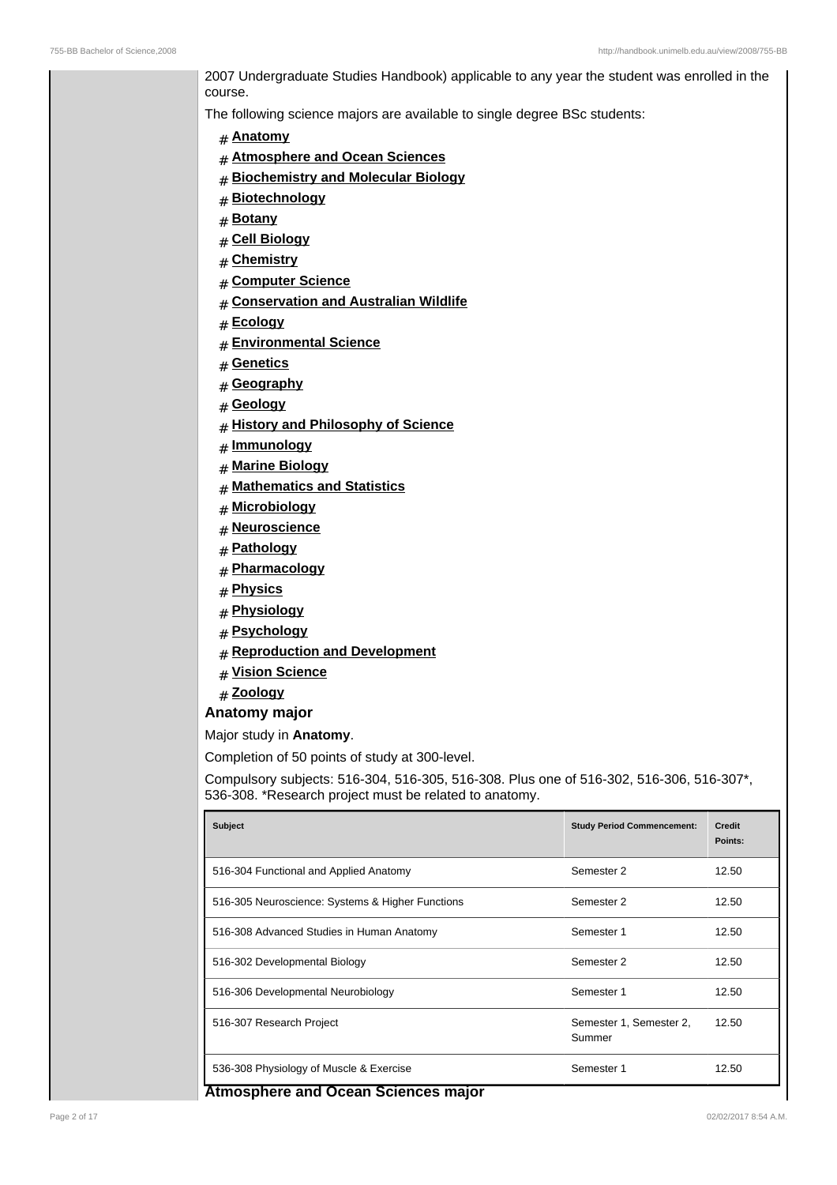2007 Undergraduate Studies Handbook) applicable to any year the student was enrolled in the course.

The following science majors are available to single degree BSc students:

- # **Anatomy**
- # **Atmosphere and Ocean Sciences**
- # **Biochemistry and Molecular Biology**
- # **Biotechnology**
- # **Botany**
- # **Cell Biology**
- # **Chemistry**
- # **Computer Science**
- # **Conservation and Australian Wildlife**
- # **Ecology**
- # **Environmental Science**
- # **Genetics**
- # **Geography**
- # **Geology**
- # **History and Philosophy of Science**
- # **Immunology**
- # **Marine Biology**
- # **Mathematics and Statistics**
- # **Microbiology**
- # **Neuroscience**
- # **Pathology**
- # **Pharmacology**
- # **Physics**
- # **Physiology**
- # **Psychology**
- # **Reproduction and Development**
- # **Vision Science**
- # **Zoology**
- **Anatomy major**

### Major study in **Anatomy**.

Completion of 50 points of study at 300-level.

Compulsory subjects: 516-304, 516-305, 516-308. Plus one of 516-302, 516-306, 516-307\*, 536-308. \*Research project must be related to anatomy.

| <b>Subject</b>                                   | <b>Study Period Commencement:</b> | <b>Credit</b><br>Points: |
|--------------------------------------------------|-----------------------------------|--------------------------|
| 516-304 Functional and Applied Anatomy           | Semester 2                        | 12.50                    |
| 516-305 Neuroscience: Systems & Higher Functions | Semester 2                        | 12.50                    |
| 516-308 Advanced Studies in Human Anatomy        | Semester 1                        | 12.50                    |
| 516-302 Developmental Biology                    | Semester 2                        | 12.50                    |
| 516-306 Developmental Neurobiology               | Semester 1                        | 12.50                    |
| 516-307 Research Project                         | Semester 1, Semester 2,<br>Summer | 12.50                    |
| 536-308 Physiology of Muscle & Exercise          | Semester 1                        | 12.50                    |

#### **Atmosphere and Ocean Sciences major**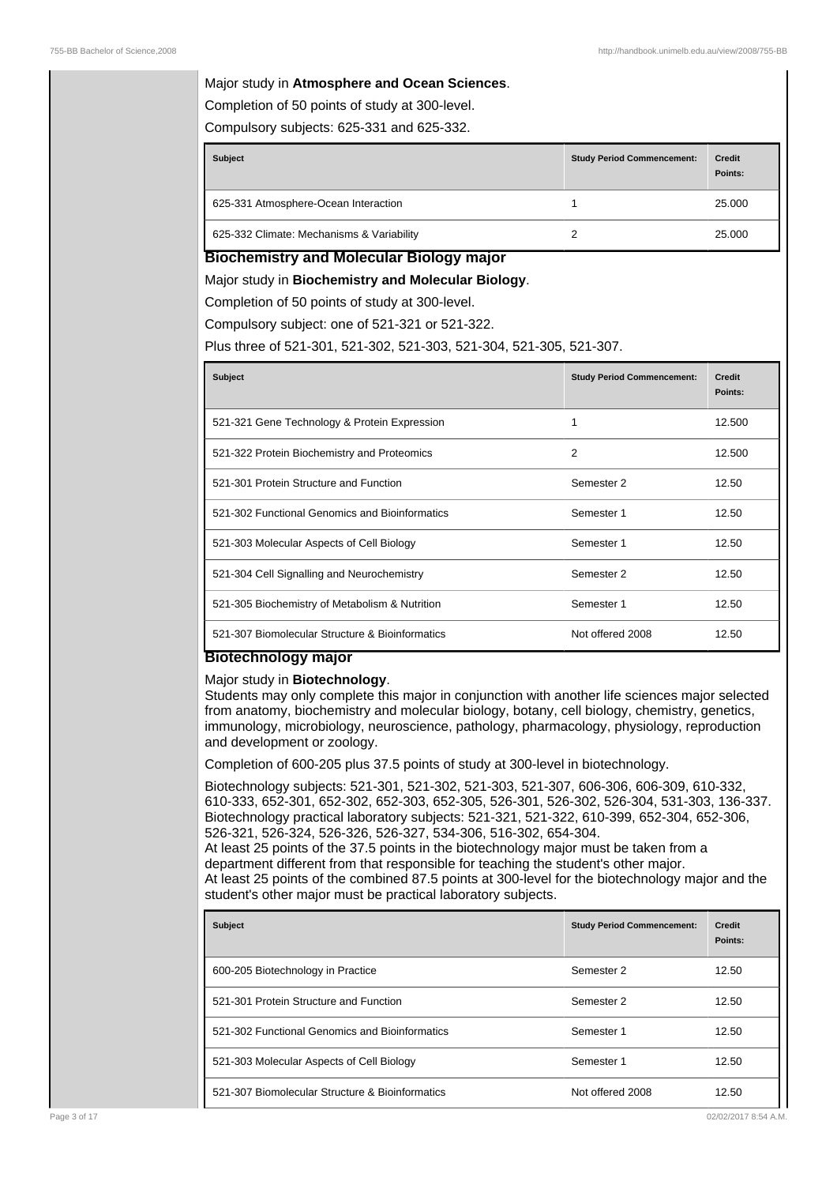### Major study in **Atmosphere and Ocean Sciences**.

Completion of 50 points of study at 300-level.

Compulsory subjects: 625-331 and 625-332.

| <b>Subject</b>                            | <b>Study Period Commencement:</b> | <b>Credit</b><br>Points: |
|-------------------------------------------|-----------------------------------|--------------------------|
| 625-331 Atmosphere-Ocean Interaction      |                                   | 25.000                   |
| 625-332 Climate: Mechanisms & Variability | 2                                 | 25.000                   |

### **Biochemistry and Molecular Biology major**

Major study in **Biochemistry and Molecular Biology**.

Completion of 50 points of study at 300-level.

Compulsory subject: one of 521-321 or 521-322.

Plus three of 521-301, 521-302, 521-303, 521-304, 521-305, 521-307.

| <b>Subject</b>                                  | <b>Study Period Commencement:</b> | <b>Credit</b><br>Points: |
|-------------------------------------------------|-----------------------------------|--------------------------|
| 521-321 Gene Technology & Protein Expression    | 1                                 | 12.500                   |
| 521-322 Protein Biochemistry and Proteomics     | $\overline{2}$                    | 12.500                   |
| 521-301 Protein Structure and Function          | Semester 2                        | 12.50                    |
| 521-302 Functional Genomics and Bioinformatics  | Semester 1                        | 12.50                    |
| 521-303 Molecular Aspects of Cell Biology       | Semester 1                        | 12.50                    |
| 521-304 Cell Signalling and Neurochemistry      | Semester 2                        | 12.50                    |
| 521-305 Biochemistry of Metabolism & Nutrition  | Semester 1                        | 12.50                    |
| 521-307 Biomolecular Structure & Bioinformatics | Not offered 2008                  | 12.50                    |

### **Biotechnology major**

#### Major study in **Biotechnology**.

Students may only complete this major in conjunction with another life sciences major selected from anatomy, biochemistry and molecular biology, botany, cell biology, chemistry, genetics, immunology, microbiology, neuroscience, pathology, pharmacology, physiology, reproduction and development or zoology.

Completion of 600-205 plus 37.5 points of study at 300-level in biotechnology.

Biotechnology subjects: 521-301, 521-302, 521-303, 521-307, 606-306, 606-309, 610-332, 610-333, 652-301, 652-302, 652-303, 652-305, 526-301, 526-302, 526-304, 531-303, 136-337. Biotechnology practical laboratory subjects: 521-321, 521-322, 610-399, 652-304, 652-306, 526-321, 526-324, 526-326, 526-327, 534-306, 516-302, 654-304. At least 25 points of the 37.5 points in the biotechnology major must be taken from a

department different from that responsible for teaching the student's other major. At least 25 points of the combined 87.5 points at 300-level for the biotechnology major and the student's other major must be practical laboratory subjects.

| <b>Subject</b>                                  | <b>Study Period Commencement:</b> | <b>Credit</b><br>Points: |
|-------------------------------------------------|-----------------------------------|--------------------------|
| 600-205 Biotechnology in Practice               | Semester 2                        | 12.50                    |
| 521-301 Protein Structure and Function          | Semester 2                        | 12.50                    |
| 521-302 Functional Genomics and Bioinformatics  | Semester 1                        | 12.50                    |
| 521-303 Molecular Aspects of Cell Biology       | Semester 1                        | 12.50                    |
| 521-307 Biomolecular Structure & Bioinformatics | Not offered 2008                  | 12.50                    |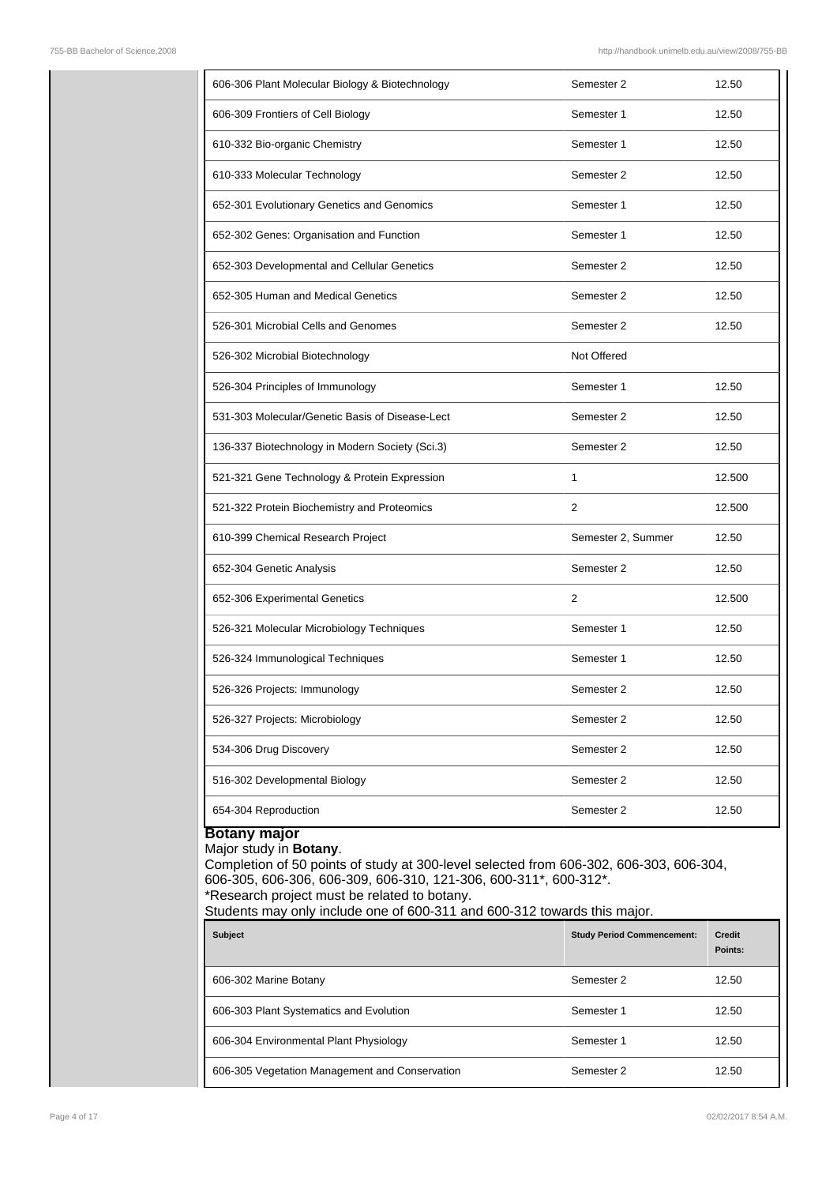| 606-306 Plant Molecular Biology & Biotechnology | Semester 2         | 12.50  |
|-------------------------------------------------|--------------------|--------|
| 606-309 Frontiers of Cell Biology               | Semester 1         | 12.50  |
| 610-332 Bio-organic Chemistry                   | Semester 1         | 12.50  |
| 610-333 Molecular Technology                    | Semester 2         | 12.50  |
| 652-301 Evolutionary Genetics and Genomics      | Semester 1         | 12.50  |
| 652-302 Genes: Organisation and Function        | Semester 1         | 12.50  |
| 652-303 Developmental and Cellular Genetics     | Semester 2         | 12.50  |
| 652-305 Human and Medical Genetics              | Semester 2         | 12.50  |
| 526-301 Microbial Cells and Genomes             | Semester 2         | 12.50  |
| 526-302 Microbial Biotechnology                 | Not Offered        |        |
| 526-304 Principles of Immunology                | Semester 1         | 12.50  |
| 531-303 Molecular/Genetic Basis of Disease-Lect | Semester 2         | 12.50  |
| 136-337 Biotechnology in Modern Society (Sci.3) | Semester 2         | 12.50  |
| 521-321 Gene Technology & Protein Expression    | 1                  | 12.500 |
| 521-322 Protein Biochemistry and Proteomics     | 2                  | 12.500 |
| 610-399 Chemical Research Project               | Semester 2, Summer | 12.50  |
| 652-304 Genetic Analysis                        | Semester 2         | 12.50  |
| 652-306 Experimental Genetics                   | 2                  | 12.500 |
| 526-321 Molecular Microbiology Techniques       | Semester 1         | 12.50  |
| 526-324 Immunological Techniques                | Semester 1         | 12.50  |
| 526-326 Projects: Immunology                    | Semester 2         | 12.50  |
| 526-327 Projects: Microbiology                  | Semester 2         | 12.50  |
| 534-306 Drug Discovery                          | Semester 2         | 12.50  |
| 516-302 Developmental Biology                   | Semester 2         | 12.50  |
| 654-304 Reproduction                            | Semester 2         | 12.50  |
| <b>Botany major</b>                             |                    |        |

# Major study in **Botany**.

Completion of 50 points of study at 300-level selected from 606-302, 606-303, 606-304, 606-305, 606-306, 606-309, 606-310, 121-306, 600-311\*, 600-312\*. \*Research project must be related to botany.

Students may only include one of 600-311 and 600-312 towards this major.

| <b>Subject</b>                                 | <b>Study Period Commencement:</b> | <b>Credit</b><br>Points: |
|------------------------------------------------|-----------------------------------|--------------------------|
| 606-302 Marine Botany                          | Semester 2                        | 12.50                    |
| 606-303 Plant Systematics and Evolution        | Semester 1                        | 12.50                    |
| 606-304 Environmental Plant Physiology         | Semester 1                        | 12.50                    |
| 606-305 Vegetation Management and Conservation | Semester 2                        | 12.50                    |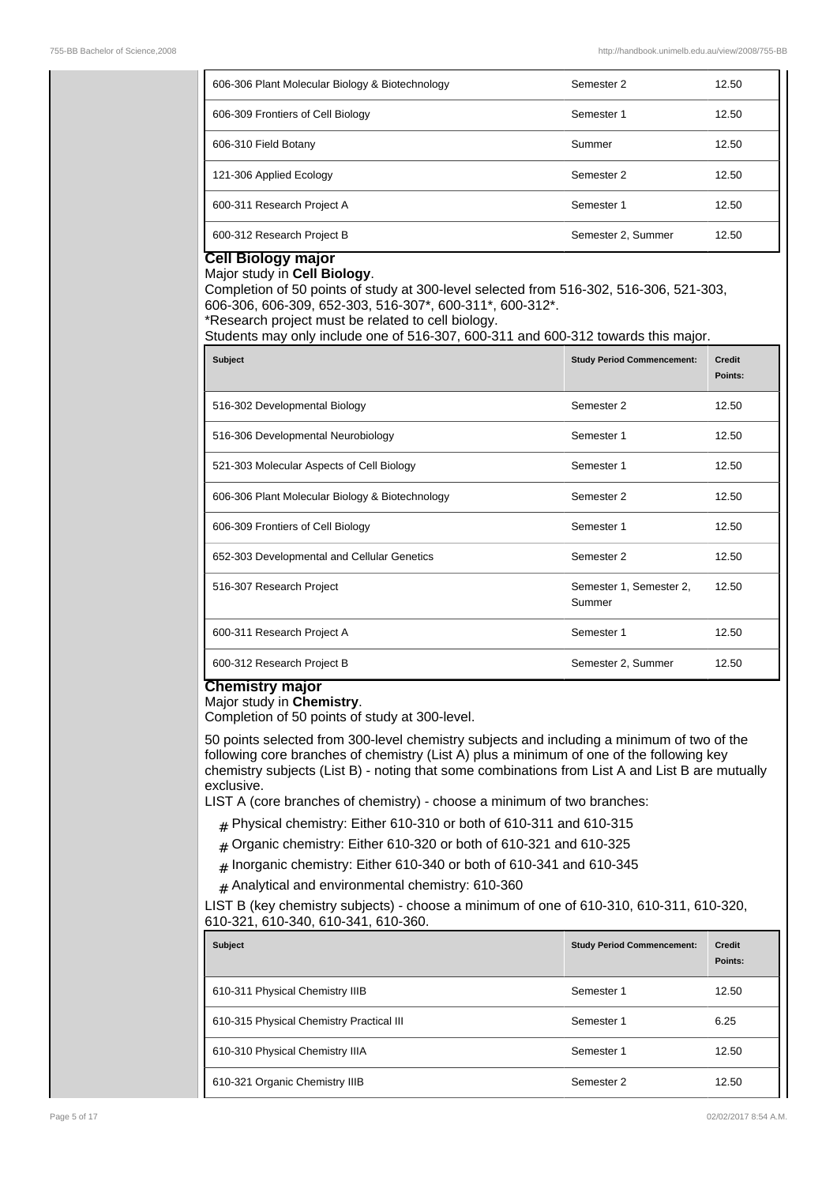| 606-306 Plant Molecular Biology & Biotechnology | Semester 2         | 12.50 |
|-------------------------------------------------|--------------------|-------|
| 606-309 Frontiers of Cell Biology               | Semester 1         | 12.50 |
| 606-310 Field Botany                            | Summer             | 12.50 |
| 121-306 Applied Ecology                         | Semester 2         | 12.50 |
| 600-311 Research Project A                      | Semester 1         | 12.50 |
| 600-312 Research Project B                      | Semester 2, Summer | 12.50 |

#### **Cell Biology major** Major study in **Cell Biology**.

Completion of 50 points of study at 300-level selected from 516-302, 516-306, 521-303, 606-306, 606-309, 652-303, 516-307\*, 600-311\*, 600-312\*. \*Research project must be related to cell biology.

Students may only include one of 516-307, 600-311 and 600-312 towards this major.

| <b>Subject</b>                                  | <b>Study Period Commencement:</b> | Credit<br>Points: |
|-------------------------------------------------|-----------------------------------|-------------------|
| 516-302 Developmental Biology                   | Semester 2                        | 12.50             |
| 516-306 Developmental Neurobiology              | Semester 1                        | 12.50             |
| 521-303 Molecular Aspects of Cell Biology       | Semester 1                        | 12.50             |
| 606-306 Plant Molecular Biology & Biotechnology | Semester 2                        | 12.50             |
| 606-309 Frontiers of Cell Biology               | Semester 1                        | 12.50             |
| 652-303 Developmental and Cellular Genetics     | Semester 2                        | 12.50             |
| 516-307 Research Project                        | Semester 1, Semester 2,<br>Summer | 12.50             |
| 600-311 Research Project A                      | Semester 1                        | 12.50             |
| 600-312 Research Project B                      | Semester 2, Summer                | 12.50             |

### **Chemistry major**

### Major study in **Chemistry**.

Completion of 50 points of study at 300-level.

50 points selected from 300-level chemistry subjects and including a minimum of two of the following core branches of chemistry (List A) plus a minimum of one of the following key chemistry subjects (List B) - noting that some combinations from List A and List B are mutually exclusive.

LIST A (core branches of chemistry) - choose a minimum of two branches:

- $#$  Physical chemistry: Either 610-310 or both of 610-311 and 610-315
- $#$  Organic chemistry: Either 610-320 or both of 610-321 and 610-325
- $_{\rm \#}$  Inorganic chemistry: Either 610-340 or both of 610-341 and 610-345
- $#$  Analytical and environmental chemistry: 610-360

LIST B (key chemistry subjects) - choose a minimum of one of 610-310, 610-311, 610-320, 610-321, 610-340, 610-341, 610-360.

| <b>Subject</b>                           | <b>Study Period Commencement:</b> | Credit<br>Points: |
|------------------------------------------|-----------------------------------|-------------------|
| 610-311 Physical Chemistry IIIB          | Semester 1                        | 12.50             |
| 610-315 Physical Chemistry Practical III | Semester 1                        | 6.25              |
| 610-310 Physical Chemistry IIIA          | Semester 1                        | 12.50             |
| 610-321 Organic Chemistry IIIB           | Semester 2                        | 12.50             |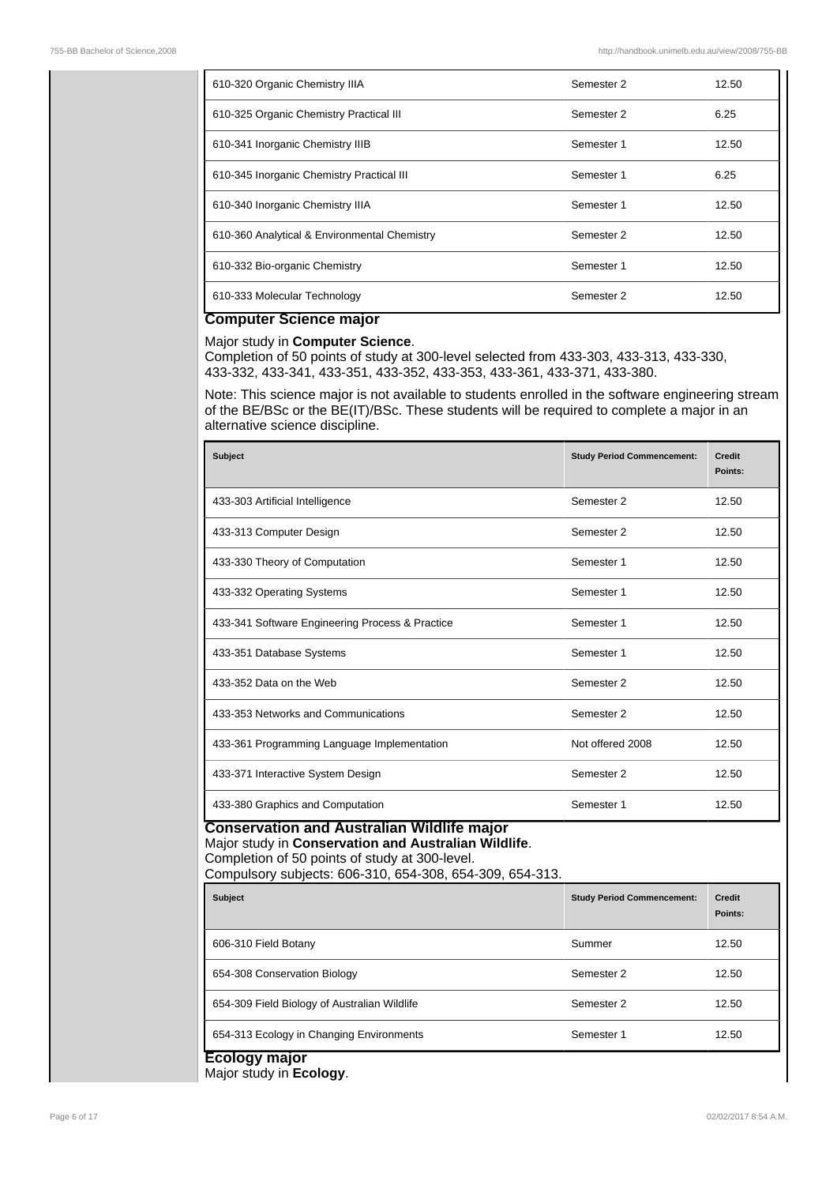| 610-320 Organic Chemistry IIIA               | Semester 2 | 12.50 |
|----------------------------------------------|------------|-------|
| 610-325 Organic Chemistry Practical III      | Semester 2 | 6.25  |
| 610-341 Inorganic Chemistry IIIB             | Semester 1 | 12.50 |
| 610-345 Inorganic Chemistry Practical III    | Semester 1 | 6.25  |
| 610-340 Inorganic Chemistry IIIA             | Semester 1 | 12.50 |
| 610-360 Analytical & Environmental Chemistry | Semester 2 | 12.50 |
| 610-332 Bio-organic Chemistry                | Semester 1 | 12.50 |
| 610-333 Molecular Technology                 | Semester 2 | 12.50 |

# **Computer Science major**

### Major study in **Computer Science**.

Completion of 50 points of study at 300-level selected from 433-303, 433-313, 433-330, 433-332, 433-341, 433-351, 433-352, 433-353, 433-361, 433-371, 433-380.

Note: This science major is not available to students enrolled in the software engineering stream of the BE/BSc or the BE(IT)/BSc. These students will be required to complete a major in an alternative science discipline.

| <b>Subject</b>                                                                                                                                                                                                          | <b>Study Period Commencement:</b> | <b>Credit</b><br>Points: |
|-------------------------------------------------------------------------------------------------------------------------------------------------------------------------------------------------------------------------|-----------------------------------|--------------------------|
| 433-303 Artificial Intelligence                                                                                                                                                                                         | Semester 2                        | 12.50                    |
| 433-313 Computer Design                                                                                                                                                                                                 | Semester 2                        | 12.50                    |
| 433-330 Theory of Computation                                                                                                                                                                                           | Semester 1                        | 12.50                    |
| 433-332 Operating Systems                                                                                                                                                                                               | Semester 1                        | 12.50                    |
| 433-341 Software Engineering Process & Practice                                                                                                                                                                         | Semester 1                        | 12.50                    |
| 433-351 Database Systems                                                                                                                                                                                                | Semester 1                        | 12.50                    |
| 433-352 Data on the Web                                                                                                                                                                                                 | Semester 2                        | 12.50                    |
| 433-353 Networks and Communications                                                                                                                                                                                     | Semester 2                        | 12.50                    |
| 433-361 Programming Language Implementation                                                                                                                                                                             | Not offered 2008                  | 12.50                    |
| 433-371 Interactive System Design                                                                                                                                                                                       | Semester 2                        | 12.50                    |
| 433-380 Graphics and Computation                                                                                                                                                                                        | Semester 1                        | 12.50                    |
| <b>Conservation and Australian Wildlife major</b><br>Major study in Conservation and Australian Wildlife.<br>Completion of 50 points of study at 300-level.<br>Compulsory subjects: 606-310, 654-308, 654-309, 654-313. |                                   |                          |
| <b>Subject</b>                                                                                                                                                                                                          | <b>Study Period Commencement:</b> | <b>Credit</b><br>Points: |
| 606-310 Field Botany                                                                                                                                                                                                    | Summer                            | 12.50                    |
| 654-308 Conservation Biology                                                                                                                                                                                            | Semester 2                        | 12.50                    |
| 654-309 Field Biology of Australian Wildlife                                                                                                                                                                            | Semester 2                        | 12.50                    |
| 654-313 Ecology in Changing Environments                                                                                                                                                                                | Semester 1                        | 12.50                    |
| Ecology major                                                                                                                                                                                                           |                                   |                          |

Major study in **Ecology**.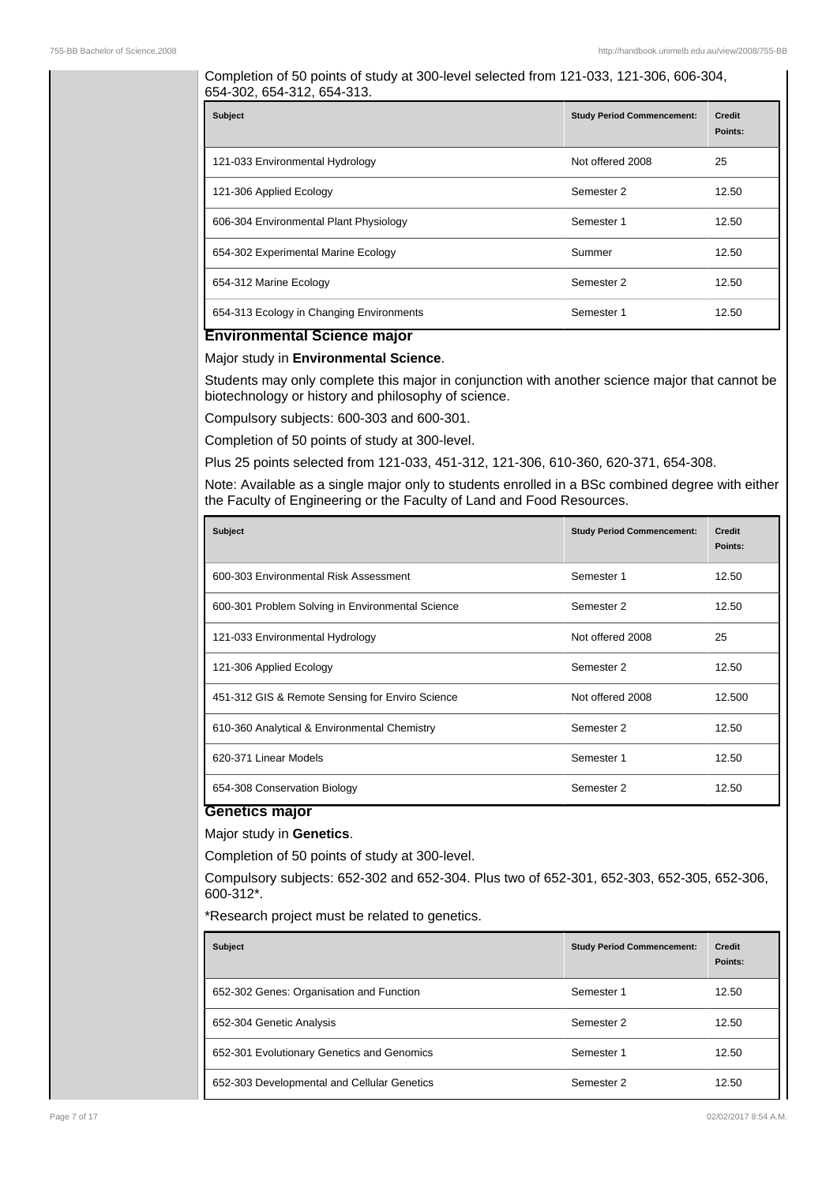Completion of 50 points of study at 300-level selected from 121-033, 121-306, 606-304, 654-302, 654-312, 654-313.

| <b>Subject</b>                           | <b>Study Period Commencement:</b> | <b>Credit</b><br>Points: |
|------------------------------------------|-----------------------------------|--------------------------|
| 121-033 Environmental Hydrology          | Not offered 2008                  | 25                       |
| 121-306 Applied Ecology                  | Semester 2                        | 12.50                    |
| 606-304 Environmental Plant Physiology   | Semester 1                        | 12.50                    |
| 654-302 Experimental Marine Ecology      | Summer                            | 12.50                    |
| 654-312 Marine Ecology                   | Semester 2                        | 12.50                    |
| 654-313 Ecology in Changing Environments | Semester 1                        | 12.50                    |

### **Environmental Science major**

Major study in **Environmental Science**.

Students may only complete this major in conjunction with another science major that cannot be biotechnology or history and philosophy of science.

Compulsory subjects: 600-303 and 600-301.

Completion of 50 points of study at 300-level.

Plus 25 points selected from 121-033, 451-312, 121-306, 610-360, 620-371, 654-308.

Note: Available as a single major only to students enrolled in a BSc combined degree with either the Faculty of Engineering or the Faculty of Land and Food Resources.

| <b>Subject</b>                                   | <b>Study Period Commencement:</b> | <b>Credit</b><br>Points: |
|--------------------------------------------------|-----------------------------------|--------------------------|
| 600-303 Environmental Risk Assessment            | Semester 1                        | 12.50                    |
| 600-301 Problem Solving in Environmental Science | Semester 2                        | 12.50                    |
| 121-033 Environmental Hydrology                  | Not offered 2008                  | 25                       |
| 121-306 Applied Ecology                          | Semester 2                        | 12.50                    |
| 451-312 GIS & Remote Sensing for Enviro Science  | Not offered 2008                  | 12.500                   |
| 610-360 Analytical & Environmental Chemistry     | Semester 2                        | 12.50                    |
| 620-371 Linear Models                            | Semester 1                        | 12.50                    |
| 654-308 Conservation Biology                     | Semester 2                        | 12.50                    |

### **Genetics major**

### Major study in **Genetics**.

Completion of 50 points of study at 300-level.

Compulsory subjects: 652-302 and 652-304. Plus two of 652-301, 652-303, 652-305, 652-306, 600-312\*.

\*Research project must be related to genetics.

| <b>Subject</b>                              | <b>Study Period Commencement:</b> | <b>Credit</b><br>Points: |
|---------------------------------------------|-----------------------------------|--------------------------|
| 652-302 Genes: Organisation and Function    | Semester 1                        | 12.50                    |
| 652-304 Genetic Analysis                    | Semester 2                        | 12.50                    |
| 652-301 Evolutionary Genetics and Genomics  | Semester 1                        | 12.50                    |
| 652-303 Developmental and Cellular Genetics | Semester 2                        | 12.50                    |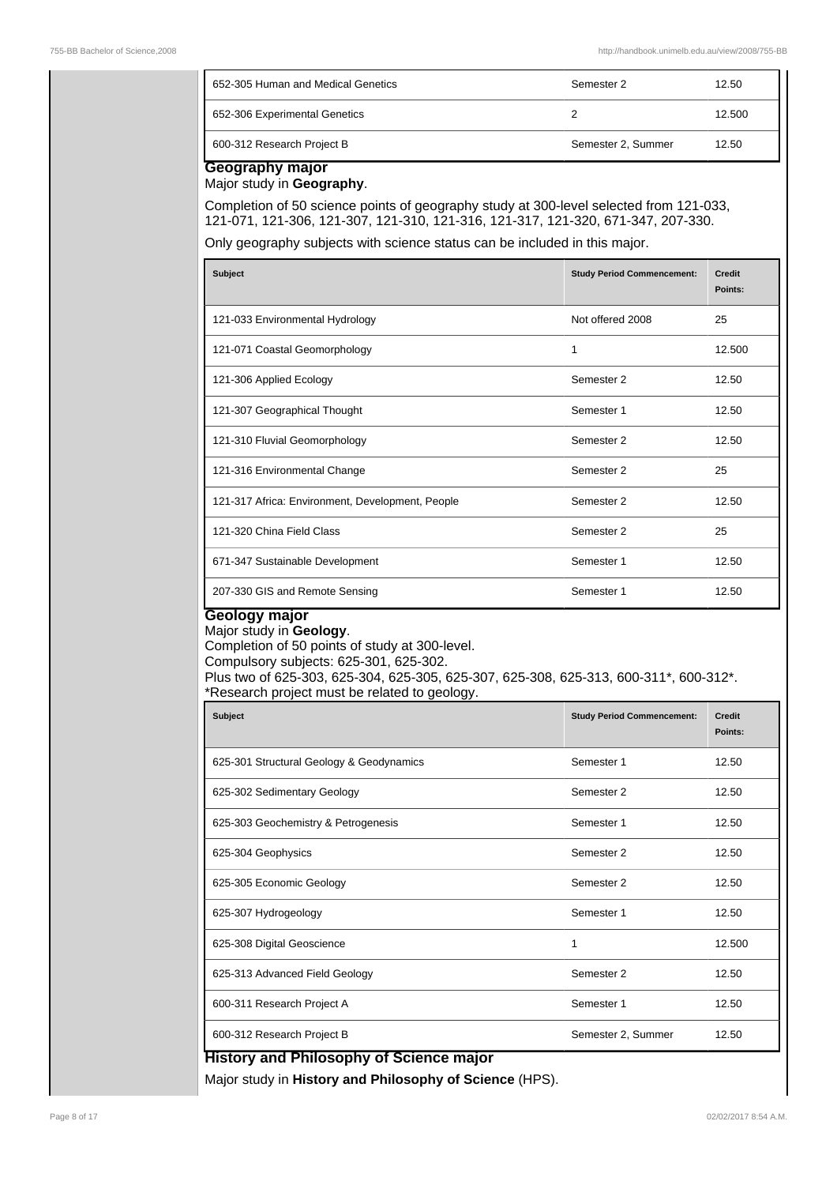| 652-305 Human and Medical Genetics | Semester 2         | 12.50  |
|------------------------------------|--------------------|--------|
| 652-306 Experimental Genetics      |                    | 12.500 |
| 600-312 Research Project B         | Semester 2, Summer | 12.50  |

**Geography major** Major study in **Geography**.

Completion of 50 science points of geography study at 300-level selected from 121-033, 121-071, 121-306, 121-307, 121-310, 121-316, 121-317, 121-320, 671-347, 207-330.

Only geography subjects with science status can be included in this major.

| <b>Subject</b>                                   | <b>Study Period Commencement:</b> | Credit<br>Points: |
|--------------------------------------------------|-----------------------------------|-------------------|
| 121-033 Environmental Hydrology                  | Not offered 2008                  | 25                |
| 121-071 Coastal Geomorphology                    | 1                                 | 12.500            |
| 121-306 Applied Ecology                          | Semester 2                        | 12.50             |
| 121-307 Geographical Thought                     | Semester 1                        | 12.50             |
| 121-310 Fluvial Geomorphology                    | Semester 2                        | 12.50             |
| 121-316 Environmental Change                     | Semester 2                        | 25                |
| 121-317 Africa: Environment, Development, People | Semester 2                        | 12.50             |
| 121-320 China Field Class                        | Semester 2                        | 25                |
| 671-347 Sustainable Development                  | Semester 1                        | 12.50             |
| 207-330 GIS and Remote Sensing                   | Semester 1                        | 12.50             |

# **Geology major**

Major study in **Geology**.

Completion of 50 points of study at 300-level. Compulsory subjects: 625-301, 625-302.

Plus two of 625-303, 625-304, 625-305, 625-307, 625-308, 625-313, 600-311\*, 600-312\*. \*Research project must be related to geology.

| Subject                                        | <b>Study Period Commencement:</b> | Credit<br>Points: |
|------------------------------------------------|-----------------------------------|-------------------|
| 625-301 Structural Geology & Geodynamics       | Semester 1                        | 12.50             |
| 625-302 Sedimentary Geology                    | Semester 2                        | 12.50             |
| 625-303 Geochemistry & Petrogenesis            | Semester 1                        | 12.50             |
| 625-304 Geophysics                             | Semester 2                        | 12.50             |
| 625-305 Economic Geology                       | Semester 2                        | 12.50             |
| 625-307 Hydrogeology                           | Semester 1                        | 12.50             |
| 625-308 Digital Geoscience                     | 1                                 | 12.500            |
| 625-313 Advanced Field Geology                 | Semester 2                        | 12.50             |
| 600-311 Research Project A                     | Semester 1                        | 12.50             |
| 600-312 Research Project B                     | Semester 2, Summer                | 12.50             |
| <b>History and Philosophy of Science major</b> |                                   |                   |

Major study in **History and Philosophy of Science** (HPS).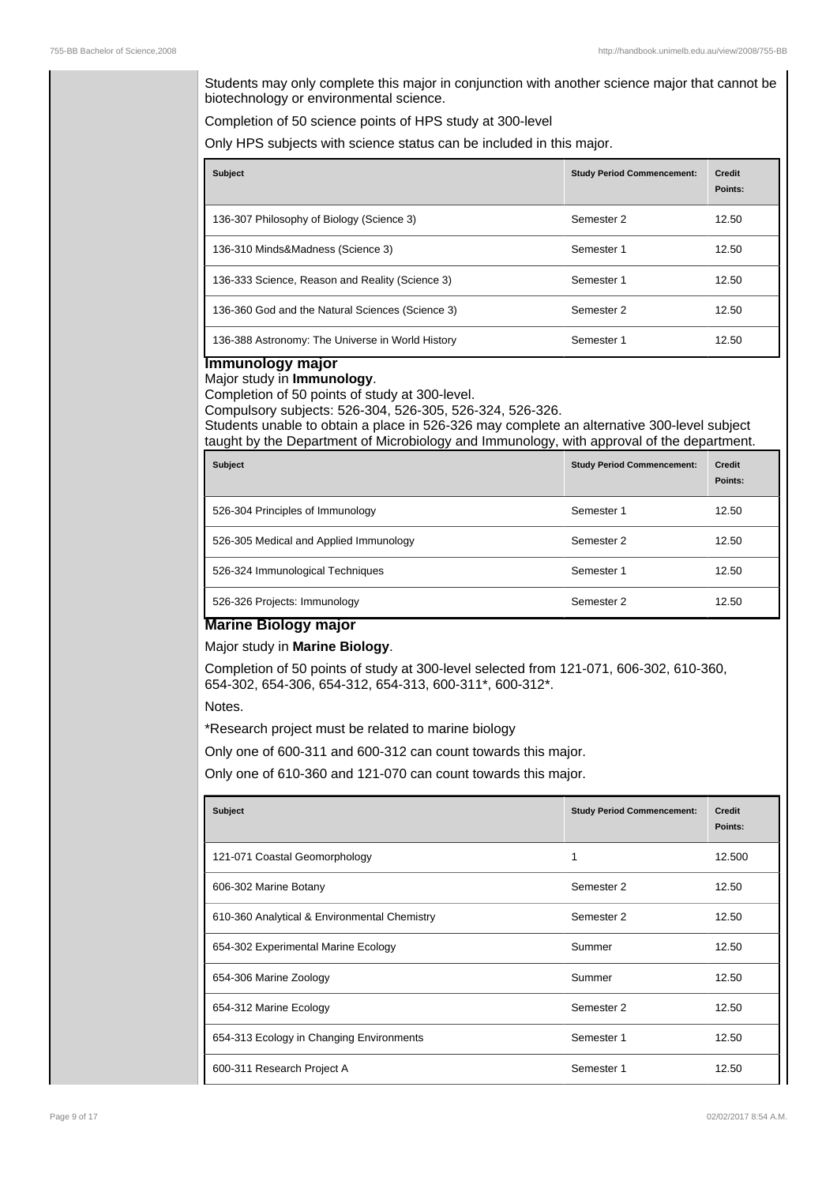Students may only complete this major in conjunction with another science major that cannot be biotechnology or environmental science.

Completion of 50 science points of HPS study at 300-level

Only HPS subjects with science status can be included in this major.

| <b>Subject</b>                                   | <b>Study Period Commencement:</b> | <b>Credit</b><br>Points: |
|--------------------------------------------------|-----------------------------------|--------------------------|
| 136-307 Philosophy of Biology (Science 3)        | Semester 2                        | 12.50                    |
| 136-310 Minds&Madness (Science 3)                | Semester 1                        | 12.50                    |
| 136-333 Science, Reason and Reality (Science 3)  | Semester 1                        | 12.50                    |
| 136-360 God and the Natural Sciences (Science 3) | Semester 2                        | 12.50                    |
| 136-388 Astronomy: The Universe in World History | Semester 1                        | 12.50                    |

# **Immunology major**

Major study in **Immunology**. Completion of 50 points of study at 300-level.

Compulsory subjects: 526-304, 526-305, 526-324, 526-326.

Students unable to obtain a place in 526-326 may complete an alternative 300-level subject taught by the Department of Microbiology and Immunology, with approval of the department.

| <b>Subject</b>                         | <b>Study Period Commencement:</b> | Credit<br>Points: |
|----------------------------------------|-----------------------------------|-------------------|
| 526-304 Principles of Immunology       | Semester 1                        | 12.50             |
| 526-305 Medical and Applied Immunology | Semester 2                        | 12.50             |
| 526-324 Immunological Techniques       | Semester 1                        | 12.50             |
| 526-326 Projects: Immunology           | Semester 2                        | 12.50             |

### **Marine Biology major**

### Major study in **Marine Biology**.

Completion of 50 points of study at 300-level selected from 121-071, 606-302, 610-360, 654-302, 654-306, 654-312, 654-313, 600-311\*, 600-312\*.

Notes.

\*Research project must be related to marine biology

Only one of 600-311 and 600-312 can count towards this major.

Only one of 610-360 and 121-070 can count towards this major.

| <b>Subject</b>                               | <b>Study Period Commencement:</b> | <b>Credit</b><br>Points: |
|----------------------------------------------|-----------------------------------|--------------------------|
| 121-071 Coastal Geomorphology                |                                   | 12.500                   |
| 606-302 Marine Botany                        | Semester 2                        | 12.50                    |
| 610-360 Analytical & Environmental Chemistry | Semester 2                        | 12.50                    |
| 654-302 Experimental Marine Ecology          | Summer                            | 12.50                    |
| 654-306 Marine Zoology                       | Summer                            | 12.50                    |
| 654-312 Marine Ecology                       | Semester 2                        | 12.50                    |
| 654-313 Ecology in Changing Environments     | Semester 1                        | 12.50                    |
| 600-311 Research Project A                   | Semester 1                        | 12.50                    |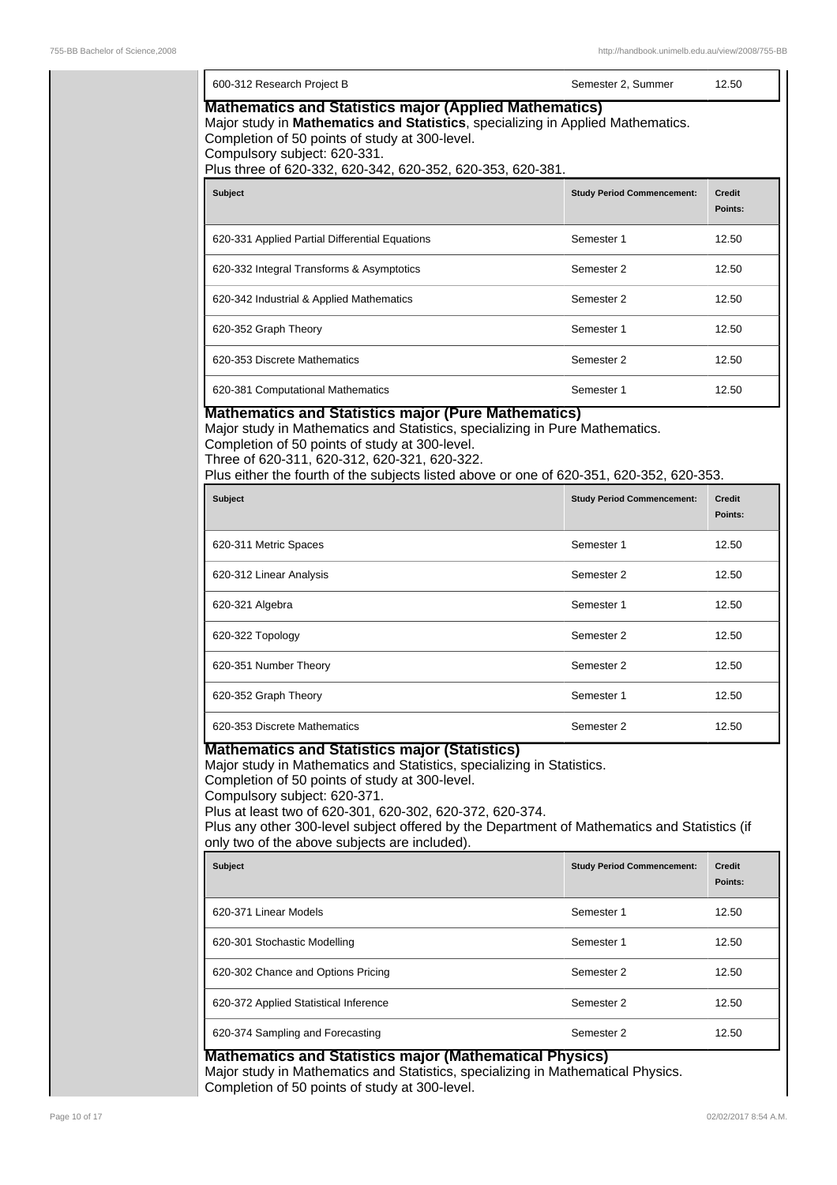| 600-312 Research Project B                                                                                                                                                                                                                                                                                                                                                              | Semester 2, Summer                | 12.50                    |
|-----------------------------------------------------------------------------------------------------------------------------------------------------------------------------------------------------------------------------------------------------------------------------------------------------------------------------------------------------------------------------------------|-----------------------------------|--------------------------|
| <b>Mathematics and Statistics major (Applied Mathematics)</b><br>Major study in Mathematics and Statistics, specializing in Applied Mathematics.<br>Completion of 50 points of study at 300-level.<br>Compulsory subject: 620-331.<br>Plus three of 620-332, 620-342, 620-352, 620-353, 620-381.                                                                                        |                                   |                          |
| Subject                                                                                                                                                                                                                                                                                                                                                                                 | <b>Study Period Commencement:</b> | <b>Credit</b><br>Points: |
| 620-331 Applied Partial Differential Equations                                                                                                                                                                                                                                                                                                                                          | Semester 1                        | 12.50                    |
| 620-332 Integral Transforms & Asymptotics                                                                                                                                                                                                                                                                                                                                               | Semester 2                        | 12.50                    |
| 620-342 Industrial & Applied Mathematics                                                                                                                                                                                                                                                                                                                                                | Semester 2                        | 12.50                    |
| 620-352 Graph Theory                                                                                                                                                                                                                                                                                                                                                                    | Semester 1                        | 12.50                    |
| 620-353 Discrete Mathematics                                                                                                                                                                                                                                                                                                                                                            | Semester 2                        | 12.50                    |
| 620-381 Computational Mathematics                                                                                                                                                                                                                                                                                                                                                       | Semester 1                        | 12.50                    |
| Completion of 50 points of study at 300-level.<br>Three of 620-311, 620-312, 620-321, 620-322.<br>Plus either the fourth of the subjects listed above or one of 620-351, 620-352, 620-353.<br><b>Subject</b>                                                                                                                                                                            | <b>Study Period Commencement:</b> | <b>Credit</b><br>Points: |
| 620-311 Metric Spaces                                                                                                                                                                                                                                                                                                                                                                   | Semester 1                        | 12.50                    |
| 620-312 Linear Analysis                                                                                                                                                                                                                                                                                                                                                                 | Semester 2                        | 12.50                    |
| 620-321 Algebra                                                                                                                                                                                                                                                                                                                                                                         | Semester 1                        | 12.50                    |
| 620-322 Topology                                                                                                                                                                                                                                                                                                                                                                        | Semester 2                        | 12.50                    |
| 620-351 Number Theory                                                                                                                                                                                                                                                                                                                                                                   | Semester 2                        | 12.50                    |
| 620-352 Graph Theory                                                                                                                                                                                                                                                                                                                                                                    | Semester 1                        | 12.50                    |
| 620-353 Discrete Mathematics                                                                                                                                                                                                                                                                                                                                                            | Semester 2                        | 12.50                    |
| <b>Mathematics and Statistics major (Statistics)</b>                                                                                                                                                                                                                                                                                                                                    |                                   |                          |
| Major study in Mathematics and Statistics, specializing in Statistics.<br>Completion of 50 points of study at 300-level.<br>Compulsory subject: 620-371.<br>Plus at least two of 620-301, 620-302, 620-372, 620-374.<br>Plus any other 300-level subject offered by the Department of Mathematics and Statistics (if<br>only two of the above subjects are included).<br><b>Subject</b> | <b>Study Period Commencement:</b> | <b>Credit</b>            |
|                                                                                                                                                                                                                                                                                                                                                                                         |                                   | Points:                  |
|                                                                                                                                                                                                                                                                                                                                                                                         | Semester 1<br>Semester 1          | 12.50<br>12.50           |
|                                                                                                                                                                                                                                                                                                                                                                                         | Semester 2                        | 12.50                    |
| 620-371 Linear Models<br>620-301 Stochastic Modelling<br>620-302 Chance and Options Pricing<br>620-372 Applied Statistical Inference                                                                                                                                                                                                                                                    | Semester 2                        | 12.50                    |

Completion of 50 points of study at 300-level.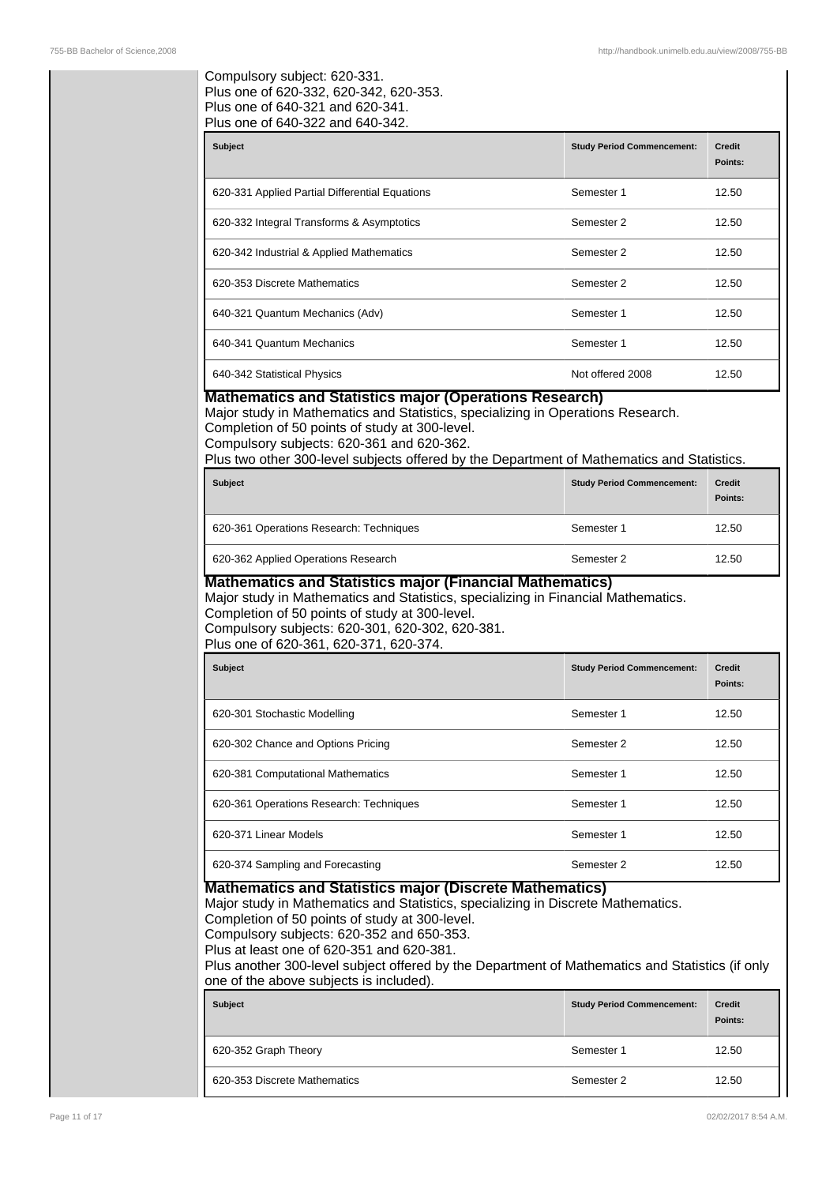### Compulsory subject: 620-331. Plus one of 620-332, 620-342, 620-353. Plus one of 640-321 and 620-341. Plus one of 640-322 and 640-342.

| <b>Subject</b>                                 | <b>Study Period Commencement:</b> | <b>Credit</b><br>Points: |
|------------------------------------------------|-----------------------------------|--------------------------|
| 620-331 Applied Partial Differential Equations | Semester 1                        | 12.50                    |
| 620-332 Integral Transforms & Asymptotics      | Semester 2                        | 12.50                    |
| 620-342 Industrial & Applied Mathematics       | Semester 2                        | 12.50                    |
| 620-353 Discrete Mathematics                   | Semester 2                        | 12.50                    |
| 640-321 Quantum Mechanics (Adv)                | Semester 1                        | 12.50                    |
| 640-341 Quantum Mechanics                      | Semester 1                        | 12.50                    |
| 640-342 Statistical Physics                    | Not offered 2008                  | 12.50                    |

### **Mathematics and Statistics major (Operations Research)**

Major study in Mathematics and Statistics, specializing in Operations Research. Completion of 50 points of study at 300-level.

Compulsory subjects: 620-361 and 620-362.

Plus two other 300-level subjects offered by the Department of Mathematics and Statistics.

| <b>Subject</b>                          | <b>Study Period Commencement:</b> | <b>Credit</b><br>Points: |
|-----------------------------------------|-----------------------------------|--------------------------|
| 620-361 Operations Research: Techniques | Semester 1                        | 12.50                    |
| 620-362 Applied Operations Research     | Semester 2                        | 12.50                    |

### **Mathematics and Statistics major (Financial Mathematics)**

### Major study in Mathematics and Statistics, specializing in Financial Mathematics.

Completion of 50 points of study at 300-level. Compulsory subjects: 620-301, 620-302, 620-381.

Plus one of 620-361, 620-371, 620-374.

| <b>Subject</b>                          | <b>Study Period Commencement:</b> | <b>Credit</b><br>Points: |
|-----------------------------------------|-----------------------------------|--------------------------|
| 620-301 Stochastic Modelling            | Semester 1                        | 12.50                    |
| 620-302 Chance and Options Pricing      | Semester 2                        | 12.50                    |
| 620-381 Computational Mathematics       | Semester 1                        | 12.50                    |
| 620-361 Operations Research: Techniques | Semester 1                        | 12.50                    |
| 620-371 Linear Models                   | Semester 1                        | 12.50                    |
| 620-374 Sampling and Forecasting        | Semester 2                        | 12.50                    |

### **Mathematics and Statistics major (Discrete Mathematics)**

Major study in Mathematics and Statistics, specializing in Discrete Mathematics. Completion of 50 points of study at 300-level.

Compulsory subjects: 620-352 and 650-353.

Plus at least one of 620-351 and 620-381.

Plus another 300-level subject offered by the Department of Mathematics and Statistics (if only one of the above subjects is included).

| <b>Subject</b>               | <b>Study Period Commencement:</b> | <b>Credit</b><br>Points: |
|------------------------------|-----------------------------------|--------------------------|
| 620-352 Graph Theory         | Semester 1                        | 12.50                    |
| 620-353 Discrete Mathematics | Semester 2                        | 12.50                    |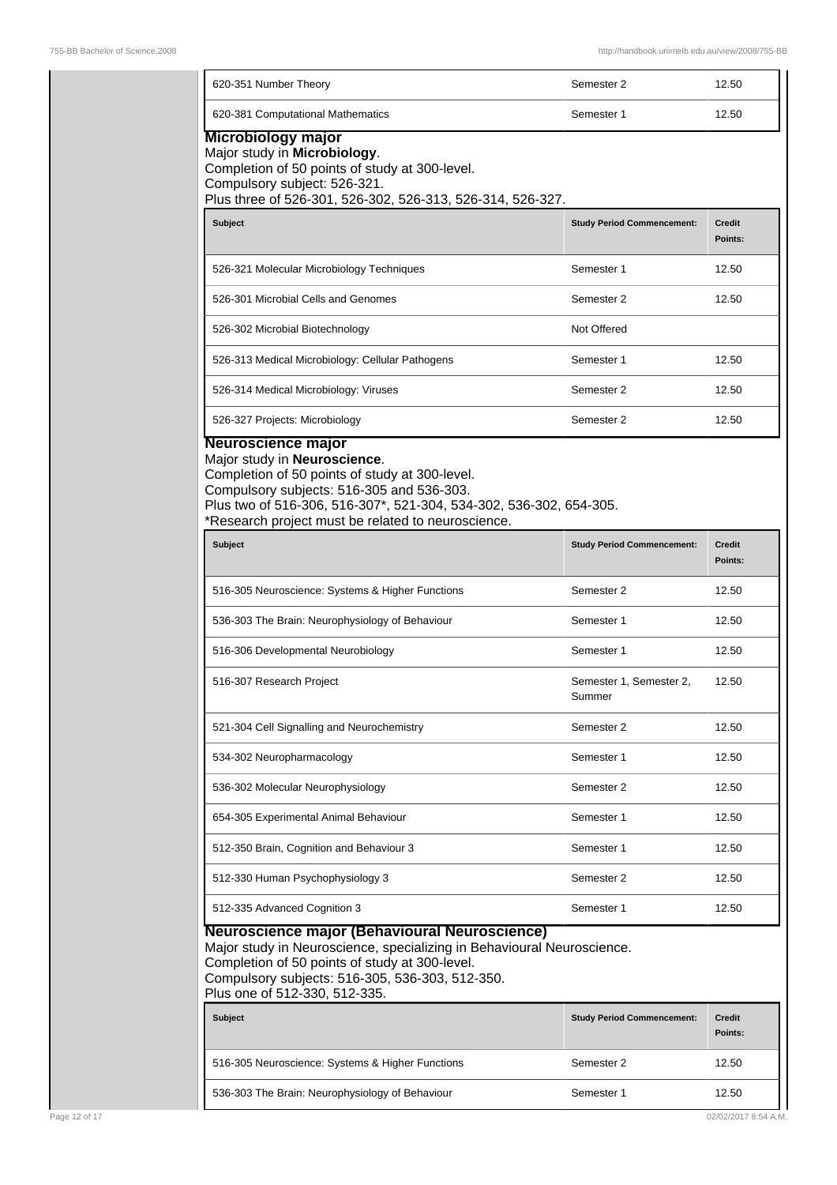| 620-351 Number Theory                                                                                                                                                                                                                                         | Semester 2                        | 12.50                    |
|---------------------------------------------------------------------------------------------------------------------------------------------------------------------------------------------------------------------------------------------------------------|-----------------------------------|--------------------------|
| 620-381 Computational Mathematics                                                                                                                                                                                                                             | Semester 1                        | 12.50                    |
| Microbiology major<br>Major study in Microbiology.<br>Completion of 50 points of study at 300-level.<br>Compulsory subject: 526-321.<br>Plus three of 526-301, 526-302, 526-313, 526-314, 526-327.                                                            |                                   |                          |
|                                                                                                                                                                                                                                                               |                                   |                          |
| <b>Subject</b>                                                                                                                                                                                                                                                | <b>Study Period Commencement:</b> | <b>Credit</b><br>Points: |
| 526-321 Molecular Microbiology Techniques                                                                                                                                                                                                                     | Semester 1                        | 12.50                    |
| 526-301 Microbial Cells and Genomes                                                                                                                                                                                                                           | Semester 2                        | 12.50                    |
| 526-302 Microbial Biotechnology                                                                                                                                                                                                                               | Not Offered                       |                          |
| 526-313 Medical Microbiology: Cellular Pathogens                                                                                                                                                                                                              | Semester 1                        | 12.50                    |
| 526-314 Medical Microbiology: Viruses                                                                                                                                                                                                                         | Semester 2                        | 12.50                    |
| 526-327 Projects: Microbiology<br>Neuroscience major                                                                                                                                                                                                          | Semester 2                        | 12.50                    |
| Compulsory subjects: 516-305 and 536-303.<br>Plus two of 516-306, 516-307*, 521-304, 534-302, 536-302, 654-305.<br>*Research project must be related to neuroscience.<br><b>Subject</b>                                                                       | <b>Study Period Commencement:</b> | <b>Credit</b><br>Points: |
| 516-305 Neuroscience: Systems & Higher Functions                                                                                                                                                                                                              | Semester 2                        | 12.50                    |
| 536-303 The Brain: Neurophysiology of Behaviour                                                                                                                                                                                                               | Semester 1<br>12.50               |                          |
| 516-306 Developmental Neurobiology                                                                                                                                                                                                                            | Semester 1<br>12.50               |                          |
| 516-307 Research Project                                                                                                                                                                                                                                      | Semester 1, Semester 2,<br>Summer | 12.50                    |
| 521-304 Cell Signalling and Neurochemistry                                                                                                                                                                                                                    | Semester 2                        | 12.50                    |
| 534-302 Neuropharmacology                                                                                                                                                                                                                                     | Semester 1                        | 12.50                    |
| 536-302 Molecular Neurophysiology                                                                                                                                                                                                                             | Semester 2                        | 12.50                    |
| 654-305 Experimental Animal Behaviour                                                                                                                                                                                                                         | Semester 1                        | 12.50                    |
| 512-350 Brain, Cognition and Behaviour 3                                                                                                                                                                                                                      | Semester 1                        | 12.50                    |
| 512-330 Human Psychophysiology 3                                                                                                                                                                                                                              | Semester 2                        | 12.50                    |
| 512-335 Advanced Cognition 3                                                                                                                                                                                                                                  | Semester 1                        | 12.50                    |
| Neuroscience major (Behavioural Neuroscience)<br>Major study in Neuroscience, specializing in Behavioural Neuroscience.<br>Completion of 50 points of study at 300-level.<br>Compulsory subjects: 516-305, 536-303, 512-350.<br>Plus one of 512-330, 512-335. |                                   |                          |
| <b>Subject</b>                                                                                                                                                                                                                                                | <b>Study Period Commencement:</b> | <b>Credit</b><br>Points: |
| 516-305 Neuroscience: Systems & Higher Functions                                                                                                                                                                                                              | Semester 2                        | 12.50                    |
| 536-303 The Brain: Neurophysiology of Behaviour                                                                                                                                                                                                               | Semester 1                        | 12.50                    |
|                                                                                                                                                                                                                                                               |                                   |                          |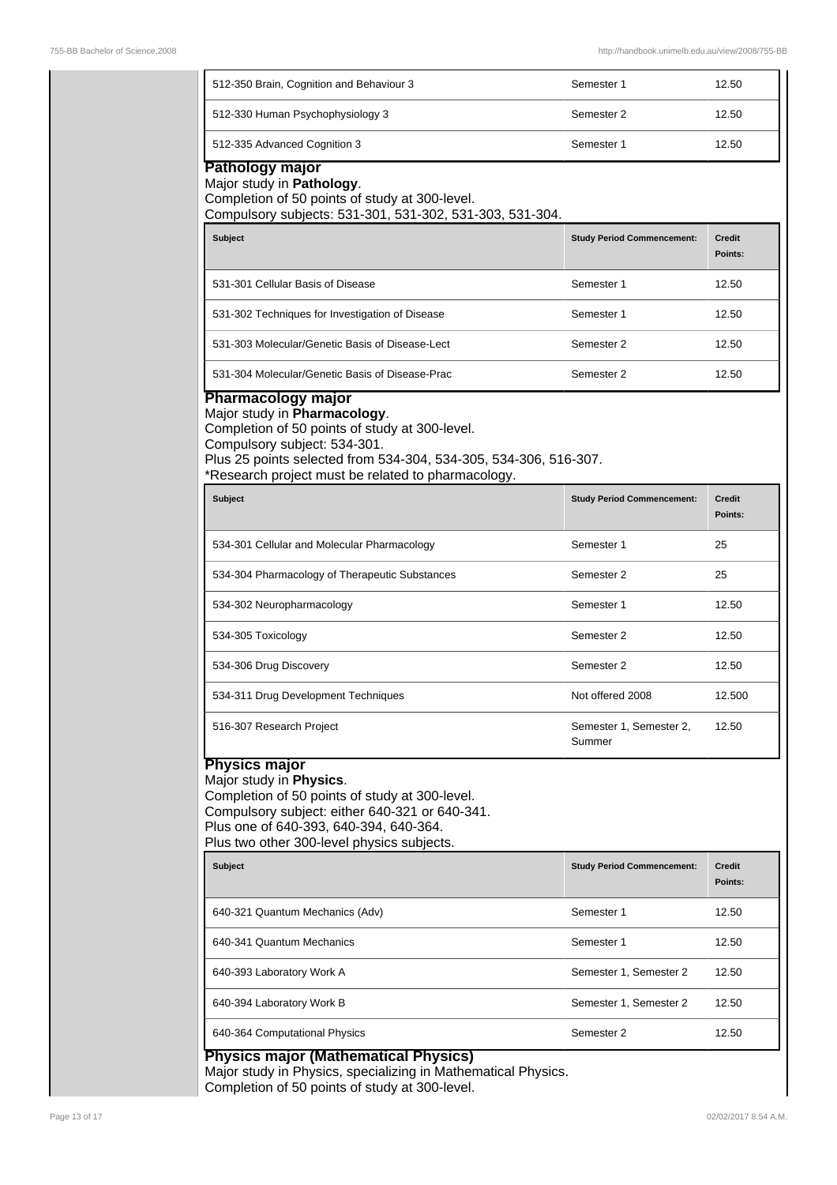| 512-350 Brain, Cognition and Behaviour 3                                                                                                                                                                                                                      | Semester 1                        | 12.50                    |
|---------------------------------------------------------------------------------------------------------------------------------------------------------------------------------------------------------------------------------------------------------------|-----------------------------------|--------------------------|
| 512-330 Human Psychophysiology 3                                                                                                                                                                                                                              | Semester 2                        | 12.50                    |
| 512-335 Advanced Cognition 3                                                                                                                                                                                                                                  | Semester 1                        | 12.50                    |
| Pathology major<br>Major study in Pathology.<br>Completion of 50 points of study at 300-level.<br>Compulsory subjects: 531-301, 531-302, 531-303, 531-304.                                                                                                    |                                   |                          |
| <b>Subject</b>                                                                                                                                                                                                                                                | <b>Study Period Commencement:</b> | <b>Credit</b><br>Points: |
| 531-301 Cellular Basis of Disease                                                                                                                                                                                                                             | Semester 1                        | 12.50                    |
| 531-302 Techniques for Investigation of Disease                                                                                                                                                                                                               | Semester 1                        | 12.50                    |
| 531-303 Molecular/Genetic Basis of Disease-Lect                                                                                                                                                                                                               | Semester 2                        | 12.50                    |
| 531-304 Molecular/Genetic Basis of Disease-Prac                                                                                                                                                                                                               | Semester 2                        | 12.50                    |
| Plus 25 points selected from 534-304, 534-305, 534-306, 516-307.<br>*Research project must be related to pharmacology.<br><b>Subject</b>                                                                                                                      | <b>Study Period Commencement:</b> | <b>Credit</b><br>Points: |
| 534-301 Cellular and Molecular Pharmacology                                                                                                                                                                                                                   | Semester 1                        | 25                       |
| 534-304 Pharmacology of Therapeutic Substances                                                                                                                                                                                                                | Semester 2                        | 25                       |
| 534-302 Neuropharmacology                                                                                                                                                                                                                                     | Semester 1                        | 12.50                    |
| 534-305 Toxicology                                                                                                                                                                                                                                            | Semester 2                        | 12.50                    |
| 534-306 Drug Discovery                                                                                                                                                                                                                                        | Semester 2                        | 12.50                    |
| 534-311 Drug Development Techniques                                                                                                                                                                                                                           | Not offered 2008                  | 12.500                   |
| 516-307 Research Project                                                                                                                                                                                                                                      | Semester 1, Semester 2,<br>Summer | 12.50                    |
| <b>Physics major</b><br>Major study in Physics.<br>Completion of 50 points of study at 300-level.<br>Compulsory subject: either 640-321 or 640-341.<br>Plus one of 640-393, 640-394, 640-364.<br>Plus two other 300-level physics subjects.<br><b>Subject</b> | <b>Study Period Commencement:</b> | Credit<br>Points:        |
| 640-321 Quantum Mechanics (Adv)                                                                                                                                                                                                                               | Semester 1                        | 12.50                    |
|                                                                                                                                                                                                                                                               |                                   | 12.50                    |
| 640-341 Quantum Mechanics                                                                                                                                                                                                                                     | Semester 1                        |                          |
| 640-393 Laboratory Work A                                                                                                                                                                                                                                     | Semester 1, Semester 2            | 12.50                    |
| 640-394 Laboratory Work B                                                                                                                                                                                                                                     | Semester 1, Semester 2            | 12.50                    |

Completion of 50 points of study at 300-level.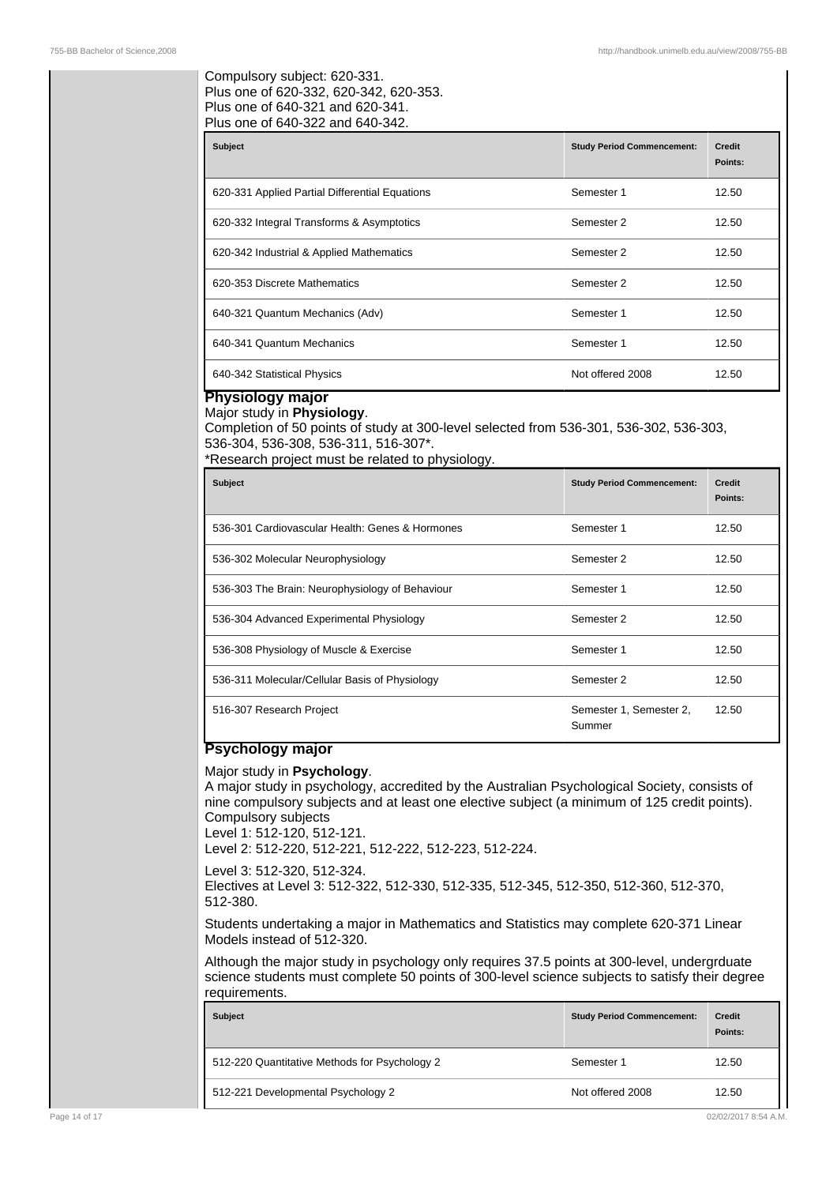### Compulsory subject: 620-331. Plus one of 620-332, 620-342, 620-353. Plus one of 640-321 and 620-341. Plus one of 640-322 and 640-342.

| <b>Subject</b>                                 | <b>Study Period Commencement:</b> | <b>Credit</b><br>Points: |
|------------------------------------------------|-----------------------------------|--------------------------|
| 620-331 Applied Partial Differential Equations | Semester 1                        | 12.50                    |
| 620-332 Integral Transforms & Asymptotics      | Semester 2                        | 12.50                    |
| 620-342 Industrial & Applied Mathematics       | Semester 2                        | 12.50                    |
| 620-353 Discrete Mathematics                   | Semester 2                        | 12.50                    |
| 640-321 Quantum Mechanics (Adv)                | Semester 1                        | 12.50                    |
| 640-341 Quantum Mechanics                      | Semester 1                        | 12.50                    |
| 640-342 Statistical Physics                    | Not offered 2008                  | 12.50                    |

### **Physiology major** Major study in **Physiology**.

Completion of 50 points of study at 300-level selected from 536-301, 536-302, 536-303, 536-304, 536-308, 536-311, 516-307\*.

\*Research project must be related to physiology.

| <b>Subject</b>                                  | <b>Study Period Commencement:</b> | <b>Credit</b><br>Points: |
|-------------------------------------------------|-----------------------------------|--------------------------|
| 536-301 Cardiovascular Health: Genes & Hormones | Semester 1                        | 12.50                    |
| 536-302 Molecular Neurophysiology               | Semester 2                        | 12.50                    |
| 536-303 The Brain: Neurophysiology of Behaviour | Semester 1                        | 12.50                    |
| 536-304 Advanced Experimental Physiology        | Semester 2                        | 12.50                    |
| 536-308 Physiology of Muscle & Exercise         | Semester 1                        | 12.50                    |
| 536-311 Molecular/Cellular Basis of Physiology  | Semester 2                        | 12.50                    |
| 516-307 Research Project                        | Semester 1, Semester 2,<br>Summer | 12.50                    |

# **Psychology major**

### Major study in **Psychology**.

A major study in psychology, accredited by the Australian Psychological Society, consists of nine compulsory subjects and at least one elective subject (a minimum of 125 credit points). Compulsory subjects

Level 1: 512-120, 512-121.

Level 2: 512-220, 512-221, 512-222, 512-223, 512-224.

Level 3: 512-320, 512-324. Electives at Level 3: 512-322, 512-330, 512-335, 512-345, 512-350, 512-360, 512-370, 512-380.

Students undertaking a major in Mathematics and Statistics may complete 620-371 Linear Models instead of 512-320.

Although the major study in psychology only requires 37.5 points at 300-level, undergrduate science students must complete 50 points of 300-level science subjects to satisfy their degree requirements.

| <b>Subject</b>                                | <b>Study Period Commencement:</b> | <b>Credit</b><br>Points: |
|-----------------------------------------------|-----------------------------------|--------------------------|
| 512-220 Quantitative Methods for Psychology 2 | Semester 1                        | 12.50                    |
| 512-221 Developmental Psychology 2            | Not offered 2008                  | 12.50                    |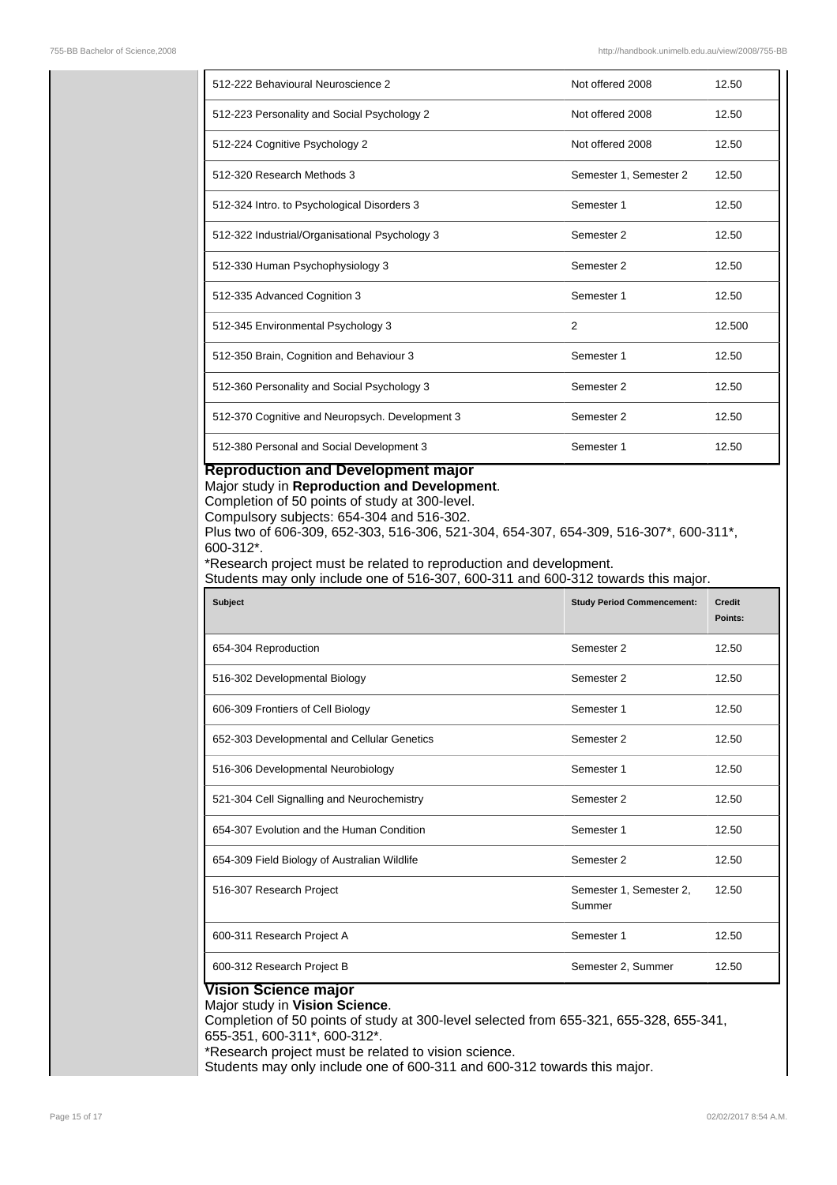| 512-222 Behavioural Neuroscience 2              | Not offered 2008       | 12.50  |
|-------------------------------------------------|------------------------|--------|
| 512-223 Personality and Social Psychology 2     | Not offered 2008       | 12.50  |
| 512-224 Cognitive Psychology 2                  | Not offered 2008       | 12.50  |
| 512-320 Research Methods 3                      | Semester 1, Semester 2 | 12.50  |
| 512-324 Intro. to Psychological Disorders 3     | Semester 1             | 12.50  |
| 512-322 Industrial/Organisational Psychology 3  | Semester 2             | 12.50  |
| 512-330 Human Psychophysiology 3                | Semester 2             | 12.50  |
| 512-335 Advanced Cognition 3                    | Semester 1             | 12.50  |
| 512-345 Environmental Psychology 3              | 2                      | 12.500 |
| 512-350 Brain, Cognition and Behaviour 3        | Semester 1             | 12.50  |
| 512-360 Personality and Social Psychology 3     | Semester 2             | 12.50  |
| 512-370 Cognitive and Neuropsych. Development 3 | Semester 2             | 12.50  |
| 512-380 Personal and Social Development 3       | Semester 1             | 12.50  |

# **Reproduction and Development major**

Major study in **Reproduction and Development**.

Completion of 50 points of study at 300-level.

Compulsory subjects: 654-304 and 516-302.

Plus two of 606-309, 652-303, 516-306, 521-304, 654-307, 654-309, 516-307\*, 600-311\*, 600-312\*.

\*Research project must be related to reproduction and development.

Students may only include one of 516-307, 600-311 and 600-312 towards this major.

| <b>Subject</b>                               | <b>Study Period Commencement:</b> | Credit<br>Points: |
|----------------------------------------------|-----------------------------------|-------------------|
| 654-304 Reproduction                         | Semester 2                        | 12.50             |
| 516-302 Developmental Biology                | Semester 2                        | 12.50             |
| 606-309 Frontiers of Cell Biology            | Semester 1                        | 12.50             |
| 652-303 Developmental and Cellular Genetics  | Semester 2                        | 12.50             |
| 516-306 Developmental Neurobiology           | Semester 1                        | 12.50             |
| 521-304 Cell Signalling and Neurochemistry   | Semester 2                        | 12.50             |
| 654-307 Evolution and the Human Condition    | Semester 1                        | 12.50             |
| 654-309 Field Biology of Australian Wildlife | Semester 2                        | 12.50             |
| 516-307 Research Project                     | Semester 1, Semester 2,<br>Summer | 12.50             |
| 600-311 Research Project A                   | Semester 1                        | 12.50             |
| 600-312 Research Project B                   | Semester 2, Summer                | 12.50             |

# **Vision Science major**

### Major study in **Vision Science**.

Completion of 50 points of study at 300-level selected from 655-321, 655-328, 655-341, 655-351, 600-311\*, 600-312\*.

\*Research project must be related to vision science.

Students may only include one of 600-311 and 600-312 towards this major.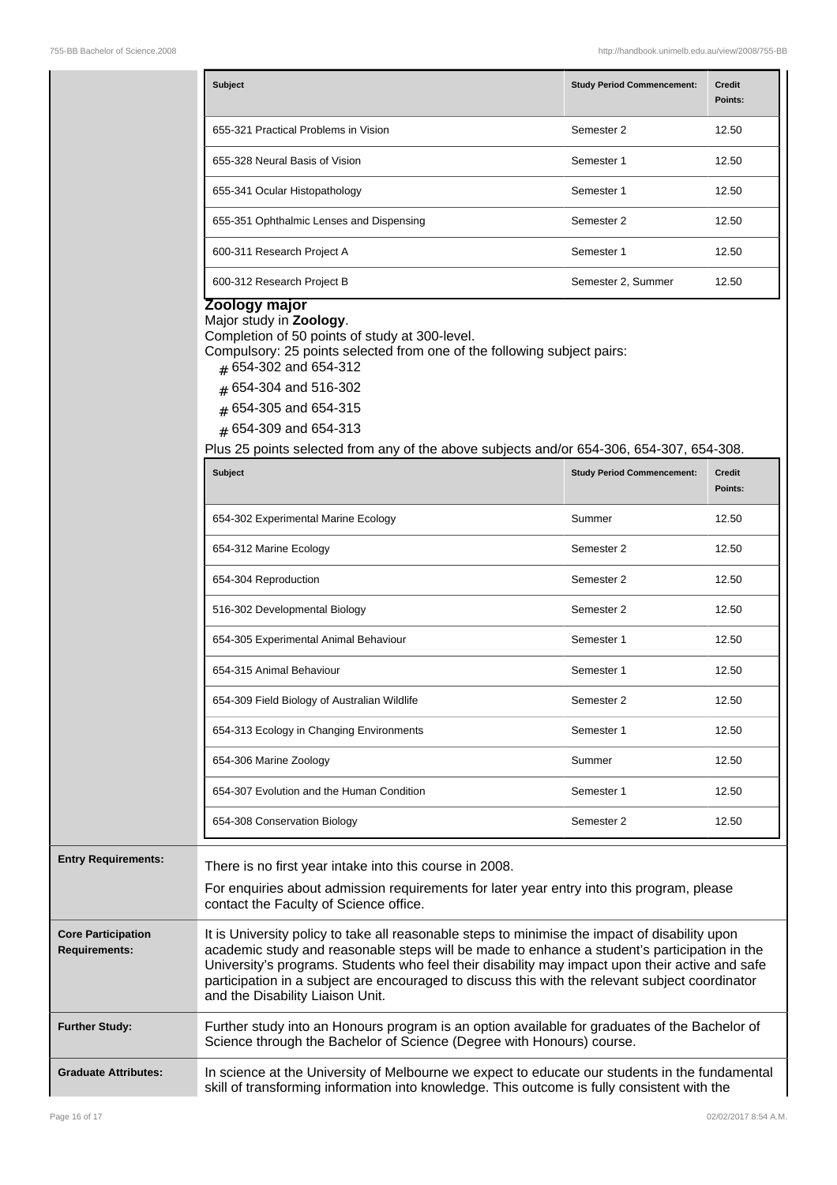| <b>Subject</b>                           | <b>Study Period Commencement:</b> | <b>Credit</b><br>Points: |
|------------------------------------------|-----------------------------------|--------------------------|
| 655-321 Practical Problems in Vision     | Semester 2                        | 12.50                    |
| 655-328 Neural Basis of Vision           | Semester 1                        | 12.50                    |
| 655-341 Ocular Histopathology            | Semester 1                        | 12.50                    |
| 655-351 Ophthalmic Lenses and Dispensing | Semester 2                        | 12.50                    |
| 600-311 Research Project A               | Semester 1                        | 12.50                    |
| 600-312 Research Project B               | Semester 2, Summer                | 12.50                    |

### **Zoology major**

#### Major study in **Zoology**.

Completion of 50 points of study at 300-level.

Compulsory: 25 points selected from one of the following subject pairs:

- # 654-302 and 654-312
- # 654-304 and 516-302
- # 654-305 and 654-315
- # 654-309 and 654-313

Plus 25 points selected from any of the above subjects and/or 654-306, 654-307, 654-308.

|                                                   | <b>Subject</b>                                                                                                                                                                                                                                                                                                                                                                                                                           | <b>Study Period Commencement:</b> | <b>Credit</b><br>Points: |
|---------------------------------------------------|------------------------------------------------------------------------------------------------------------------------------------------------------------------------------------------------------------------------------------------------------------------------------------------------------------------------------------------------------------------------------------------------------------------------------------------|-----------------------------------|--------------------------|
|                                                   | 654-302 Experimental Marine Ecology                                                                                                                                                                                                                                                                                                                                                                                                      | Summer                            | 12.50                    |
|                                                   | 654-312 Marine Ecology                                                                                                                                                                                                                                                                                                                                                                                                                   | Semester 2                        | 12.50                    |
|                                                   | 654-304 Reproduction                                                                                                                                                                                                                                                                                                                                                                                                                     | Semester 2                        | 12.50                    |
|                                                   | 516-302 Developmental Biology                                                                                                                                                                                                                                                                                                                                                                                                            | Semester 2                        | 12.50                    |
|                                                   | 654-305 Experimental Animal Behaviour                                                                                                                                                                                                                                                                                                                                                                                                    | Semester 1                        | 12.50                    |
|                                                   | 654-315 Animal Behaviour                                                                                                                                                                                                                                                                                                                                                                                                                 | Semester 1                        | 12.50                    |
|                                                   | 654-309 Field Biology of Australian Wildlife                                                                                                                                                                                                                                                                                                                                                                                             | Semester 2                        | 12.50                    |
|                                                   | 654-313 Ecology in Changing Environments                                                                                                                                                                                                                                                                                                                                                                                                 | Semester 1                        | 12.50                    |
|                                                   | 654-306 Marine Zoology                                                                                                                                                                                                                                                                                                                                                                                                                   | Summer                            | 12.50                    |
|                                                   | 654-307 Evolution and the Human Condition                                                                                                                                                                                                                                                                                                                                                                                                | Semester 1                        | 12.50                    |
|                                                   | 654-308 Conservation Biology                                                                                                                                                                                                                                                                                                                                                                                                             | Semester 2                        | 12.50                    |
| <b>Entry Requirements:</b>                        | There is no first year intake into this course in 2008.<br>For enquiries about admission requirements for later year entry into this program, please<br>contact the Faculty of Science office.                                                                                                                                                                                                                                           |                                   |                          |
| <b>Core Participation</b><br><b>Requirements:</b> | It is University policy to take all reasonable steps to minimise the impact of disability upon<br>academic study and reasonable steps will be made to enhance a student's participation in the<br>University's programs. Students who feel their disability may impact upon their active and safe<br>participation in a subject are encouraged to discuss this with the relevant subject coordinator<br>and the Disability Liaison Unit. |                                   |                          |
| <b>Further Study:</b>                             | Further study into an Honours program is an option available for graduates of the Bachelor of<br>Science through the Bachelor of Science (Degree with Honours) course.                                                                                                                                                                                                                                                                   |                                   |                          |
| <b>Graduate Attributes:</b>                       | In science at the University of Melbourne we expect to educate our students in the fundamental                                                                                                                                                                                                                                                                                                                                           |                                   |                          |

skill of transforming information into knowledge. This outcome is fully consistent with the